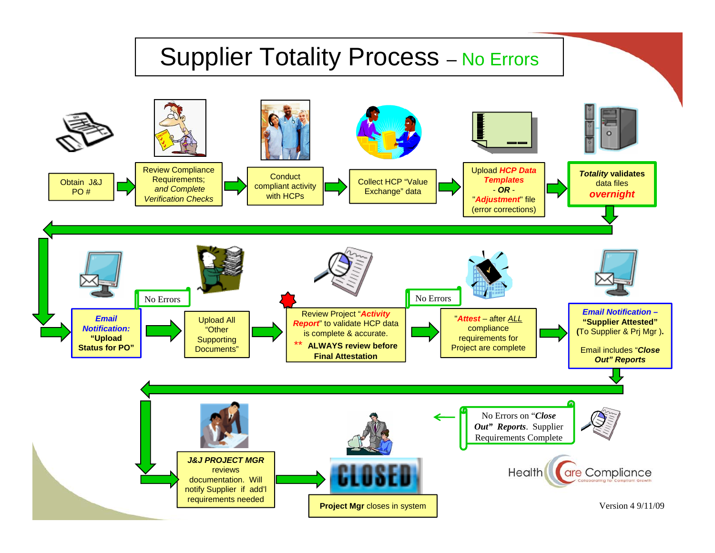## Supplier Totality Process – No Errors